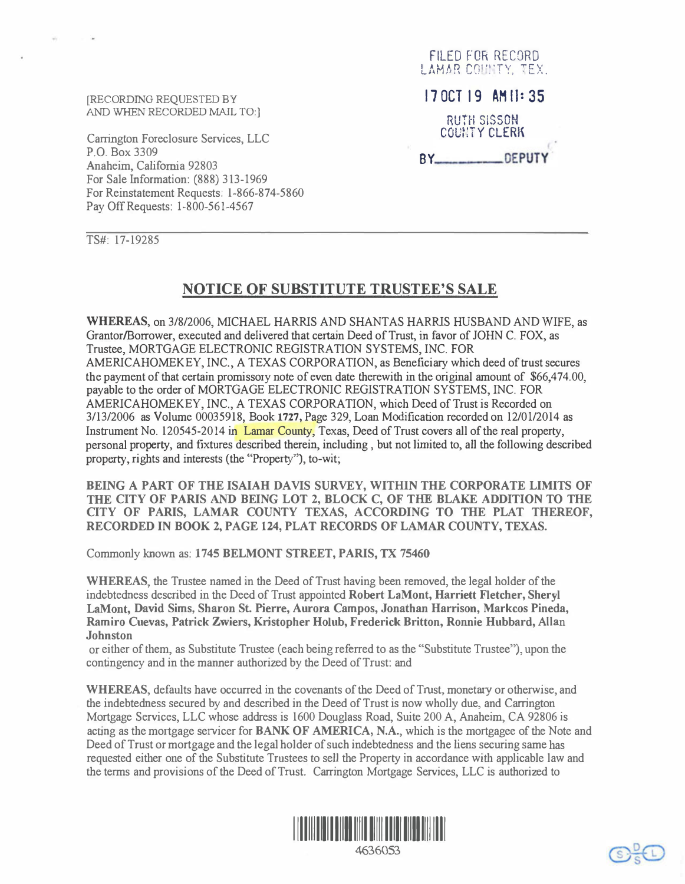[RECORDING REQUESTED BY AND WHEN RECORDED MAIL TO:]

Carrington Foreclosure Services, LLC P.O. Box 3309 Anaheim, California 92803 For Sale Information: (888) 313-1969 For Reinstatement Requests: 1-866-874-5860 Pay Off Requests: 1-800-561-4567

FILED FOR RECORD LAMAR COUNTY. TEX.  $170C$ T 19 AM  $1:35$ RUTH SISSON COUNTY CLERK BY\_\_\_\_\_\_\_\_\_\_\_\_\_\_\_\_\_\_OEPUTY

TS#: 17-19285

## NOTICE OF SUBSTITUTE TRUSTEE'S SALE

WHEREAS, on 3/8/2006, MICHAEL HARRIS AND SHANTAS HARRIS HUSBAND AND WIFE, as Grantor/Borrower, executed and delivered that certain Deed of Trust, in favor of JOHN C. FOX, as Trustee, MORTGAGE ELECTRONIC REGISTRATION SYSTEMS, INC. FOR AMERICAHOMEKEY, INC., A TEXAS CORPORATION, as Beneficiary which deed of trust secures the payment of that certain promissory note of even date therewith in the original amount of \$66,474.00, payable to the order of MORTGAGE ELECTRONIC REGISTRATION SYSTEMS, INC. FOR AMERICAHOMEKEY, INC., A TEXAS CORPORATION, which Deed of Trust is Recorded on 3/13/2006 as Volume 00035918, Book 1727, Page 329, Loan Modification recorded on 12/01/2014 as Instrument No. 120545-2014 in Lamar County, Texas, Deed of Trust covers all of the real property, personal property, and fixtures described therein, including , but not limited to, all the following described property, rights and interests (the "Property"), to-wit;

BEING A PART OF THE ISAIAH DAVIS SURVEY, WITHIN THE CORPORATE LIMITS OF THE CITY OF PARIS AND BEING LOT 2, BLOCK C, OF THE BLAKE ADDITION TO THE CITY OF PARIS, LAMAR COUNTY TEXAS, ACCORDING TO THE PLAT THEREOF, RECORDED IN BOOK 2, PAGE 124, PLAT RECORDS OF LAMAR COUNTY, TEXAS.

Commonly known as: 1745 BELMONT STREET, PARIS, TX 75460

WHEREAS, the Trustee named in the Deed of Trust having been removed, the legal holder of the indebtedness described in the Deed of Trust appointed Robert LaMont, Harriett Fletcher, Sheryl LaMont, David Sims, Sharon St. Pierre, Aurora Campos, Jonathan Harrison, Markcos Pineda, Ramiro Cuevas, Patrick Zwiers, Kristopher Holub, Frederick Britton, Ronnie Hubbard, Allan **Johnston** 

or either of them, as Substitute Trustee (each being referred to as the "Substitute Trustee"), upon the contingency and in the manner authorized by the Deed of Trust: and

WHEREAS, defaults have occurred in the covenants of the Deed of Trust, monetary or otherwise, and the indebtedness secured by and described in the Deed of Trust is now wholly due, and Carrington Mortgage Services, LLC whose address is 1600 Douglass Road, Suite 200 A, Anaheim, CA 92806 is acting as the mortgage servicer for **BANK OF AMERICA**, N.A., which is the mortgagee of the Note and Deed of Trust or mortgage and the legal holder of such indebtedness and the liens securing same has requested either one of the Substitute Trustees to sell the Property in accordance with applicable law and the terms and provisions of the Deed of Trust. Carrington Mortgage Services, LLC is authorized to





SCL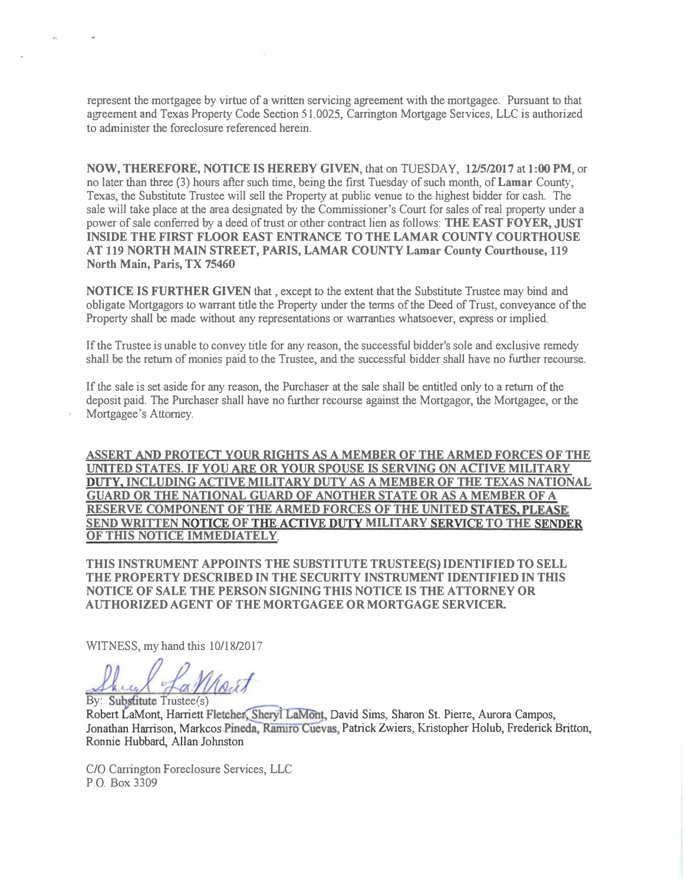represent the mortgagee by virtue of a written servicing agreement with the mortgagee. Pursuant to that agreement and Texas Property Code Section 51.0025, Carrington Mortgage Services, LLC is authorized to administer the foreclosure referenced herein.

NOW, THEREFORE, NOTICE IS HEREBY GIVEN, that on TUESDAY, 12/5/2017 at 1:00 PM, or no later than three (3) hours after such time, being the first Tuesday of such month, of Lamar County, Texas, the Substitute Trustee will sell the Property at public venue to the highest bidder for cash. The sale will take place at the area designated by the Commissioner's Court for sales of real property under a power of sale conferred by a deed of trust or other contract lien as follows: THE EAST FOYER, JUST INSIDE THE FIRST FLOOR EAST ENTRANCE TO THE LAMAR COUNTY COURTHOUSE AT 119 NORTH MAIN STREET, PARIS, LAMAR COUNTY Lamar County Courthouse, 119 North Main, Paris, TX 75460

NOTICE IS FURTHER GIVEN that , except to the extent that the Substitute Trustee may bind and obligate Mortgagors to warrant title the Property under the terms of the Deed of Trust, conveyance of the Property shall be made without any representations or warranties whatsoever, express or implied.

If the Trustee is unable to convey title for any reason, the successful bidder's sole and exclusive remedy shall be the return of monies paid to the Trustee, and the successful bidder shall have no further recourse.

If the sale is set aside for any reason, the Purchaser at the sale shall be entitled only to a return of the deposit paid. The Purchaser shall have no further recourse against the Mortgagor, the Mortgagee, or the Mortgagee's Attorney.

ASSERT AND PROTECT YOUR RIGHTS AS A MEMBER OF THE ARMED FORCES OF THE UNITED STATES. IF YOU ARE OR YOUR SPOUSE IS SERVING ON ACTIVE MILITARY DUTY, INCLUDING ACTIVE MILITARY DUTY AS A MEMBER OF THE TEXAS NATIONAL GUARD OR THE NATIONAL GUARD OF ANOTHER STATE OR AS A MEMBER OF A RESERVE COMPONENT OF THE ARMED FORCES OF THE UNITED STATES, PLEASE SEND WRITTEN NOTICE OF THE ACTIVE DUTY MILITARY SERVICE TO THE SENDER OF THIS NOTICE IMMEDIATELY.

THIS INSTRUMENT APPOINTS THE SUBSTITUTE TRUSTEE(S) IDENTIFIED TO SELL THE PROPERTY DESCRIBED IN THE SECURITY INSTRUMENT IDENTIFIED IN THIS NOTICE OF SALE THE PERSON SIGNING THIS NOTICE IS THE ATTORNEY OR AUTHORIZED AGENT OF THE MORTGAGEE OR MORTGAGE SERVICER

WITNESS, my hand this 10/18/2017

-&.f Uo,;f By: Substitute Trustee(s)

By: Substitute Hustoc<sub>(S)</sub><br>Robert LaMont, Harriett Fletcher, Sheryl LaMont, David Sims, Sharon St. Pierre, Aurora Campos, Jonathan Harrison, Markcos Pineda, Ramiro Cuevas, Patrick Zwiers, Kristopher Holub, Frederick Britton, Ronnie Hubbard, Allan Johnston

C/O Carrington Foreclosure Services, LLC P.O. Box 3309